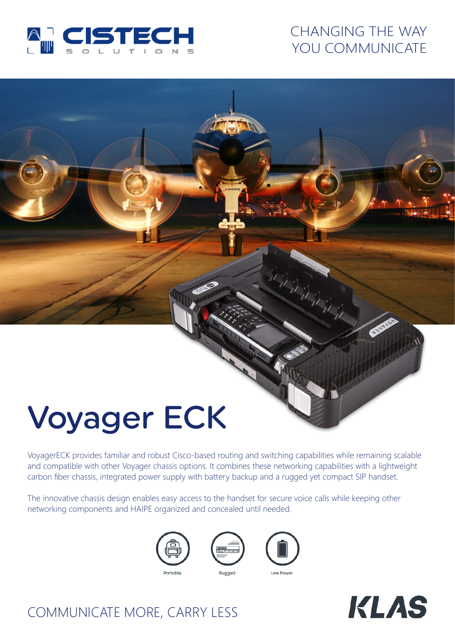

## CHANGING THE WAY YOU COMMUNICATE

# Voyager ECK

VoyagerECK provides familiar and robust Cisco-based routing and switching capabilities while remaining scalable and compatible with other Voyager chassis options. It combines these networking capabilities with a lightweight carbon fiber chassis, integrated power supply with battery backup and a rugged yet compact SIP handset.

The innovative chassis design enables easy access to the handset for secure voice calls while keeping other networking components and HAIPE organized and concealed until needed.







DONNE



## COMMUNICATE MORE, CARRY LESS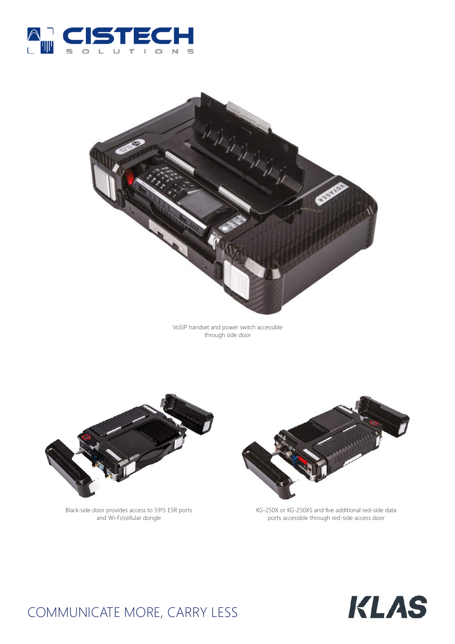



VoSIP handset and power switch accessible through side door



Black-side door provides access to 5915 ESR ports and Wi-Fi/cellular dongle



KG-250X or KG-250XS and five additional red-side data ports accessible through red-side access door



# COMMUNICATE MORE, CARRY LESS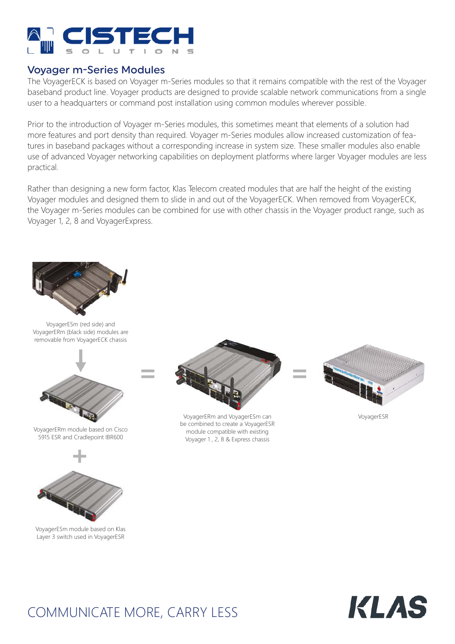

### Voyager m-Series Modules

The VoyagerECK is based on Voyager m-Series modules so that it remains compatible with the rest of the Voyager baseband product line. Voyager products are designed to provide scalable network communications from a single user to a headquarters or command post installation using common modules wherever possible.

Prior to the introduction of Voyager m-Series modules, this sometimes meant that elements of a solution had more features and port density than required. Voyager m-Series modules allow increased customization of features in baseband packages without a corresponding increase in system size. These smaller modules also enable use of advanced Voyager networking capabilities on deployment platforms where larger Voyager modules are less practical.

Rather than designing a new form factor, Klas Telecom created modules that are half the height of the existing Voyager modules and designed them to slide in and out of the VoyagerECK. When removed from VoyagerECK, the Voyager m-Series modules can be combined for use with other chassis in the Voyager product range, such as Voyager 1, 2, 8 and VoyagerExpress.



VoyagerESm (red side) and VoyagerERm (black side) modules are removable from VoyagerECK chassis



VoyagerERm module based on Cisco 5915 ESR and Cradlepoint IBR600



VoyagerESm module based on Klas Layer 3 switch used in VoyagerESR



VoyagerERm and VoyagerESm can be combined to create a VoyagerESR module compatible with existing Voyager 1 , 2, 8 & Express chassis



VoyagerESR



# COMMUNICATE MORE, CARRY LESS